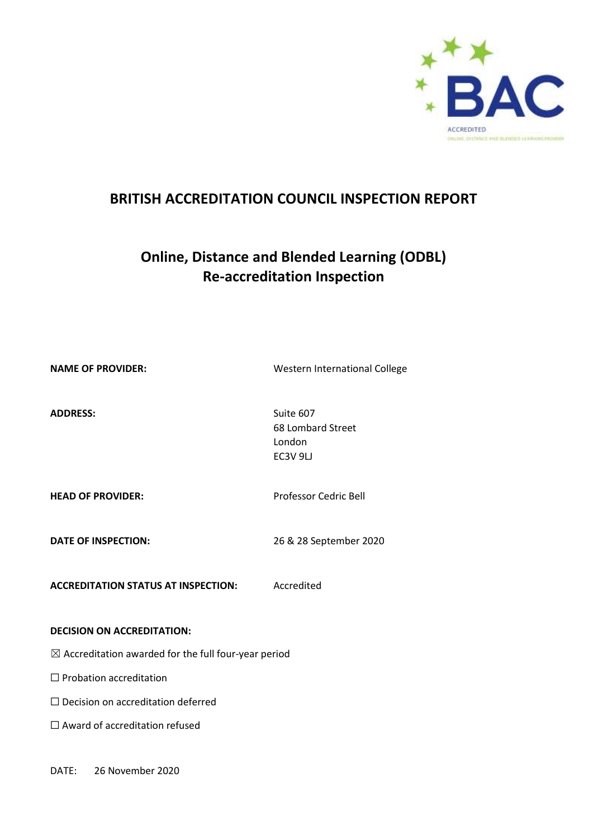

# **BRITISH ACCREDITATION COUNCIL INSPECTION REPORT**

# **Online, Distance and Blended Learning (ODBL) Re-accreditation Inspection**

**NAME OF PROVIDER:** Western International College

ADDRESS: Suite 607

68 Lombard Street London EC3V 9LJ

**HEAD OF PROVIDER:** Professor Cedric Bell

**DATE OF INSPECTION:** 26 & 28 September 2020

**ACCREDITATION STATUS AT INSPECTION:** Accredited

#### **DECISION ON ACCREDITATION:**

 $\boxtimes$  Accreditation awarded for the full four-year period

☐ Probation accreditation

□ Decision on accreditation deferred

□ Award of accreditation refused

DATE: 26 November 2020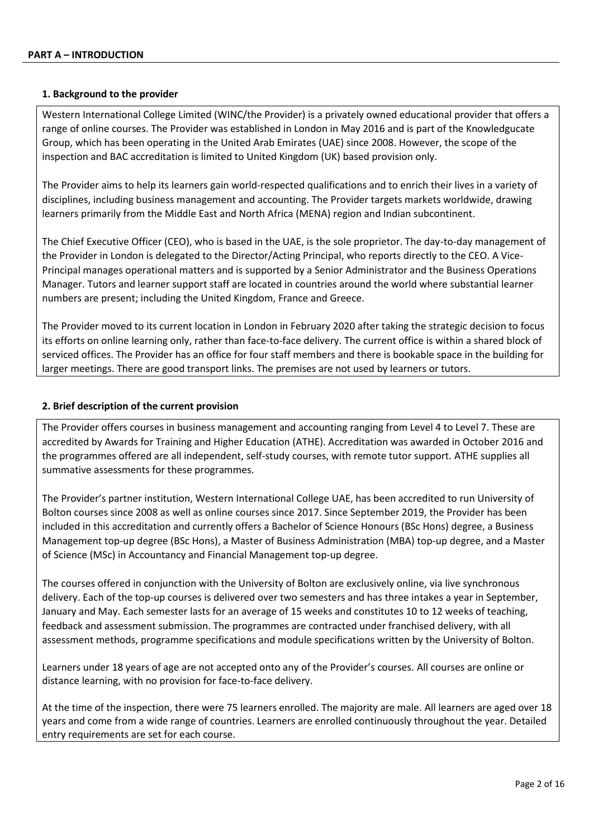#### **1. Background to the provider**

Western International College Limited (WINC/the Provider) is a privately owned educational provider that offers a range of online courses. The Provider was established in London in May 2016 and is part of the Knowledgucate Group, which has been operating in the United Arab Emirates (UAE) since 2008. However, the scope of the inspection and BAC accreditation is limited to United Kingdom (UK) based provision only.

The Provider aims to help its learners gain world-respected qualifications and to enrich their lives in a variety of disciplines, including business management and accounting. The Provider targets markets worldwide, drawing learners primarily from the Middle East and North Africa (MENA) region and Indian subcontinent.

The Chief Executive Officer (CEO), who is based in the UAE, is the sole proprietor. The day-to-day management of the Provider in London is delegated to the Director/Acting Principal, who reports directly to the CEO. A Vice-Principal manages operational matters and is supported by a Senior Administrator and the Business Operations Manager. Tutors and learner support staff are located in countries around the world where substantial learner numbers are present; including the United Kingdom, France and Greece.

The Provider moved to its current location in London in February 2020 after taking the strategic decision to focus its efforts on online learning only, rather than face-to-face delivery. The current office is within a shared block of serviced offices. The Provider has an office for four staff members and there is bookable space in the building for larger meetings. There are good transport links. The premises are not used by learners or tutors.

#### **2. Brief description of the current provision**

The Provider offers courses in business management and accounting ranging from Level 4 to Level 7. These are accredited by Awards for Training and Higher Education (ATHE). Accreditation was awarded in October 2016 and the programmes offered are all independent, self-study courses, with remote tutor support. ATHE supplies all summative assessments for these programmes.

The Provider's partner institution, Western International College UAE, has been accredited to run University of Bolton courses since 2008 as well as online courses since 2017. Since September 2019, the Provider has been included in this accreditation and currently offers a Bachelor of Science Honours (BSc Hons) degree, a Business Management top-up degree (BSc Hons), a Master of Business Administration (MBA) top-up degree, and a Master of Science (MSc) in Accountancy and Financial Management top-up degree.

The courses offered in conjunction with the University of Bolton are exclusively online, via live synchronous delivery. Each of the top-up courses is delivered over two semesters and has three intakes a year in September, January and May. Each semester lasts for an average of 15 weeks and constitutes 10 to 12 weeks of teaching, feedback and assessment submission. The programmes are contracted under franchised delivery, with all assessment methods, programme specifications and module specifications written by the University of Bolton.

Learners under 18 years of age are not accepted onto any of the Provider's courses. All courses are online or distance learning, with no provision for face-to-face delivery.

At the time of the inspection, there were 75 learners enrolled. The majority are male. All learners are aged over 18 years and come from a wide range of countries. Learners are enrolled continuously throughout the year. Detailed entry requirements are set for each course.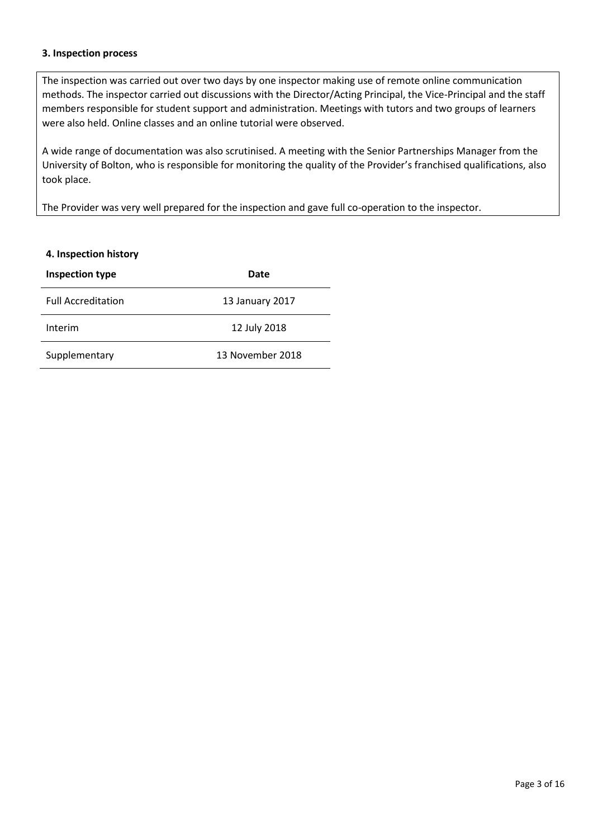#### **3. Inspection process**

l,

The inspection was carried out over two days by one inspector making use of remote online communication methods. The inspector carried out discussions with the Director/Acting Principal, the Vice-Principal and the staff members responsible for student support and administration. Meetings with tutors and two groups of learners were also held. Online classes and an online tutorial were observed.

A wide range of documentation was also scrutinised. A meeting with the Senior Partnerships Manager from the University of Bolton, who is responsible for monitoring the quality of the Provider's franchised qualifications, also took place.

The Provider was very well prepared for the inspection and gave full co-operation to the inspector.

| 4. Inspection history     |                  |  |
|---------------------------|------------------|--|
| Inspection type<br>Date   |                  |  |
| <b>Full Accreditation</b> | 13 January 2017  |  |
| Interim                   | 12 July 2018     |  |
| Supplementary             | 13 November 2018 |  |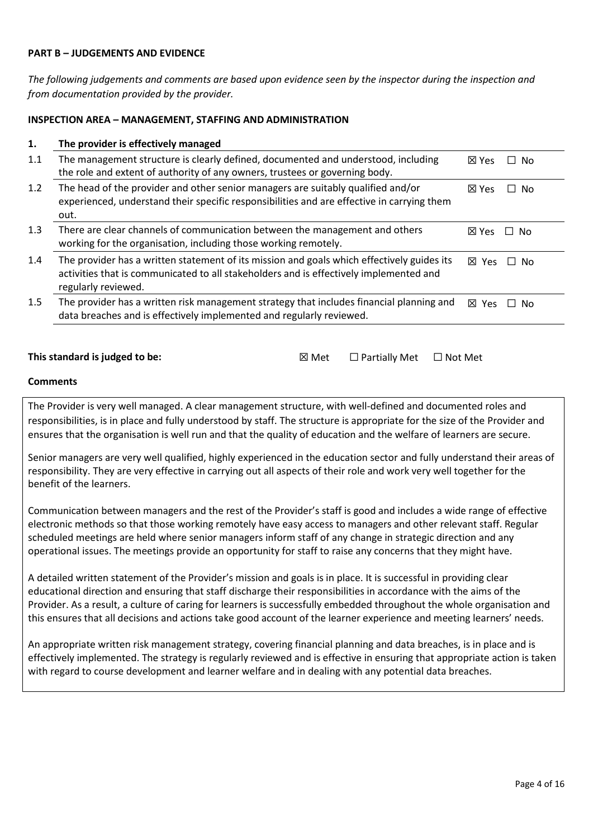#### **PART B – JUDGEMENTS AND EVIDENCE**

*The following judgements and comments are based upon evidence seen by the inspector during the inspection and from documentation provided by the provider.*

#### **INSPECTION AREA – MANAGEMENT, STAFFING AND ADMINISTRATION**

#### **1. The provider is effectively managed**

| 1.1 | The management structure is clearly defined, documented and understood, including<br>the role and extent of authority of any owners, trustees or governing body.                                            | ⊠ Yes<br>No.           |
|-----|-------------------------------------------------------------------------------------------------------------------------------------------------------------------------------------------------------------|------------------------|
| 1.2 | The head of the provider and other senior managers are suitably qualified and/or<br>experienced, understand their specific responsibilities and are effective in carrying them<br>out.                      | $\boxtimes$ Yes<br>No. |
| 1.3 | There are clear channels of communication between the management and others<br>working for the organisation, including those working remotely.                                                              | 冈 Yes<br>No.           |
| 1.4 | The provider has a written statement of its mission and goals which effectively guides its<br>activities that is communicated to all stakeholders and is effectively implemented and<br>regularly reviewed. | 冈 Yes<br>No.<br>$\Box$ |
| 1.5 | The provider has a written risk management strategy that includes financial planning and<br>data breaches and is effectively implemented and regularly reviewed.                                            | ⊠<br>N٥<br>Yes         |

#### **This standard is judged to be: Ⅳexternally Metally Metally Metally Metally Metally Metally Metally Metally Metally Metally Metally Metally Metally Metally Metally Metally Metally Metally Metally Metally Metally Metally**

| ସ Met<br>$\Box$ Partially Met | $\Box$ Not Met |
|-------------------------------|----------------|
|-------------------------------|----------------|

#### **Comments**

The Provider is very well managed. A clear management structure, with well-defined and documented roles and responsibilities, is in place and fully understood by staff. The structure is appropriate for the size of the Provider and ensures that the organisation is well run and that the quality of education and the welfare of learners are secure.

Senior managers are very well qualified, highly experienced in the education sector and fully understand their areas of responsibility. They are very effective in carrying out all aspects of their role and work very well together for the benefit of the learners.

Communication between managers and the rest of the Provider's staff is good and includes a wide range of effective electronic methods so that those working remotely have easy access to managers and other relevant staff. Regular scheduled meetings are held where senior managers inform staff of any change in strategic direction and any operational issues. The meetings provide an opportunity for staff to raise any concerns that they might have.

A detailed written statement of the Provider's mission and goals is in place. It is successful in providing clear educational direction and ensuring that staff discharge their responsibilities in accordance with the aims of the Provider. As a result, a culture of caring for learners is successfully embedded throughout the whole organisation and this ensures that all decisions and actions take good account of the learner experience and meeting learners' needs.

An appropriate written risk management strategy, covering financial planning and data breaches, is in place and is effectively implemented. The strategy is regularly reviewed and is effective in ensuring that appropriate action is taken with regard to course development and learner welfare and in dealing with any potential data breaches.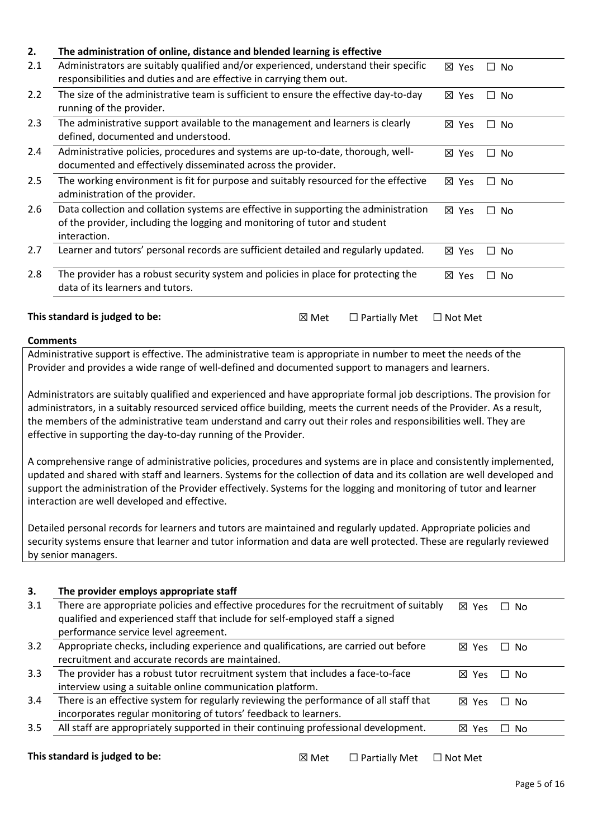| 2.  | The administration of online, distance and blended learning is effective                                                                                                           |                |           |
|-----|------------------------------------------------------------------------------------------------------------------------------------------------------------------------------------|----------------|-----------|
| 2.1 | Administrators are suitably qualified and/or experienced, understand their specific<br>responsibilities and duties and are effective in carrying them out.                         | ⊠ Yes          | $\Box$ No |
| 2.2 | The size of the administrative team is sufficient to ensure the effective day-to-day<br>running of the provider.                                                                   | ⊠ Yes          | $\Box$ No |
| 2.3 | The administrative support available to the management and learners is clearly<br>defined, documented and understood.                                                              | ⊠<br>Yes       | □ No      |
| 2.4 | Administrative policies, procedures and systems are up-to-date, thorough, well-<br>documented and effectively disseminated across the provider.                                    | ⊠ Yes          | □ No      |
| 2.5 | The working environment is fit for purpose and suitably resourced for the effective<br>administration of the provider.                                                             | ⊠ Yes          | $\Box$ No |
| 2.6 | Data collection and collation systems are effective in supporting the administration<br>of the provider, including the logging and monitoring of tutor and student<br>interaction. | ⊠ Yes          | $\Box$ No |
| 2.7 | Learner and tutors' personal records are sufficient detailed and regularly updated.                                                                                                | ⊠ Yes          | $\Box$ No |
| 2.8 | The provider has a robust security system and policies in place for protecting the<br>data of its learners and tutors.                                                             | ⊠ Yes          | $\Box$ No |
|     | This standard is judged to be:<br>$\boxtimes$ Met<br>$\Box$ Partially Met                                                                                                          | $\Box$ Not Met |           |

Administrative support is effective. The administrative team is appropriate in number to meet the needs of the Provider and provides a wide range of well-defined and documented support to managers and learners.

Administrators are suitably qualified and experienced and have appropriate formal job descriptions. The provision for administrators, in a suitably resourced serviced office building, meets the current needs of the Provider. As a result, the members of the administrative team understand and carry out their roles and responsibilities well. They are effective in supporting the day-to-day running of the Provider.

A comprehensive range of administrative policies, procedures and systems are in place and consistently implemented, updated and shared with staff and learners. Systems for the collection of data and its collation are well developed and support the administration of the Provider effectively. Systems for the logging and monitoring of tutor and learner interaction are well developed and effective.

Detailed personal records for learners and tutors are maintained and regularly updated. Appropriate policies and security systems ensure that learner and tutor information and data are well protected. These are regularly reviewed by senior managers.

#### **3. The provider employs appropriate staff**

| 3.1 | There are appropriate policies and effective procedures for the recruitment of suitably<br>qualified and experienced staff that include for self-employed staff a signed<br>performance service level agreement. | 冈 Yes           | ∩ No |
|-----|------------------------------------------------------------------------------------------------------------------------------------------------------------------------------------------------------------------|-----------------|------|
| 3.2 | Appropriate checks, including experience and qualifications, are carried out before<br>recruitment and accurate records are maintained.                                                                          | 冈 Yes           | ∩ No |
| 3.3 | The provider has a robust tutor recruitment system that includes a face-to-face<br>interview using a suitable online communication platform.                                                                     | ⊠<br><b>Yes</b> | ∩ No |
| 3.4 | There is an effective system for regularly reviewing the performance of all staff that<br>incorporates regular monitoring of tutors' feedback to learners.                                                       | 冈 Yes           | ⊟ No |
| 3.5 | All staff are appropriately supported in their continuing professional development.                                                                                                                              | $\boxtimes$ Yes | No.  |

**This standard is judged to be:** ☒ Met ☐ Partially Met ☐ Not Met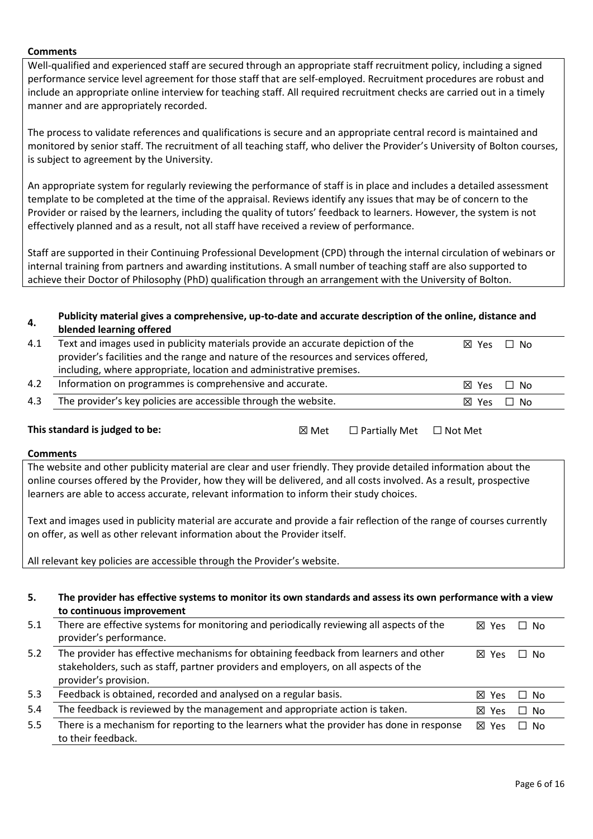Well-qualified and experienced staff are secured through an appropriate staff recruitment policy, including a signed performance service level agreement for those staff that are self-employed. Recruitment procedures are robust and include an appropriate online interview for teaching staff. All required recruitment checks are carried out in a timely manner and are appropriately recorded.

The process to validate references and qualifications is secure and an appropriate central record is maintained and monitored by senior staff. The recruitment of all teaching staff, who deliver the Provider's University of Bolton courses, is subject to agreement by the University.

An appropriate system for regularly reviewing the performance of staff is in place and includes a detailed assessment template to be completed at the time of the appraisal. Reviews identify any issues that may be of concern to the Provider or raised by the learners, including the quality of tutors' feedback to learners. However, the system is not effectively planned and as a result, not all staff have received a review of performance.

Staff are supported in their Continuing Professional Development (CPD) through the internal circulation of webinars or internal training from partners and awarding institutions. A small number of teaching staff are also supported to achieve their Doctor of Philosophy (PhD) qualification through an arrangement with the University of Bolton.

#### **4. Publicity material gives a comprehensive, up-to-date and accurate description of the online, distance and blended learning offered**

| 4.1             | Text and images used in publicity materials provide an accurate depiction of the                                                                                                                                                                                                                                                       |       |                      | ⊠ Yes          | $\Box$ No    |
|-----------------|----------------------------------------------------------------------------------------------------------------------------------------------------------------------------------------------------------------------------------------------------------------------------------------------------------------------------------------|-------|----------------------|----------------|--------------|
|                 | provider's facilities and the range and nature of the resources and services offered,                                                                                                                                                                                                                                                  |       |                      |                |              |
|                 | including, where appropriate, location and administrative premises.                                                                                                                                                                                                                                                                    |       |                      |                |              |
| 4.2             | Information on programmes is comprehensive and accurate.                                                                                                                                                                                                                                                                               |       |                      | ⊠ Yes          | No<br>$\Box$ |
| 4.3             | The provider's key policies are accessible through the website.                                                                                                                                                                                                                                                                        |       |                      | ⊠ Yes          | $\Box$ No    |
|                 | This standard is judged to be:                                                                                                                                                                                                                                                                                                         | ⊠ Met | $\Box$ Partially Met | $\Box$ Not Met |              |
| <b>Comments</b> |                                                                                                                                                                                                                                                                                                                                        |       |                      |                |              |
|                 | The website and other publicity material are clear and user friendly. They provide detailed information about the<br>online courses offered by the Provider, how they will be delivered, and all costs involved. As a result, prospective<br>learners are able to access accurate, relevant information to inform their study choices. |       |                      |                |              |
|                 | Text and images used in publicity material are accurate and provide a fair reflection of the range of courses currently<br>on offer, as well as other relevant information about the Provider itself.                                                                                                                                  |       |                      |                |              |
|                 | All relevant key policies are accessible through the Provider's website.                                                                                                                                                                                                                                                               |       |                      |                |              |
|                 |                                                                                                                                                                                                                                                                                                                                        |       |                      |                |              |
| 5.              | The provider has effective systems to monitor its own standards and assess its own performance with a view<br>to continuous improvement                                                                                                                                                                                                |       |                      |                |              |
| 5.1             | There are effective systems for monitoring and periodically reviewing all aspects of the<br>provider's performance.                                                                                                                                                                                                                    |       |                      | ⊠ Yes          | $\Box$ No    |
| 5.2             | The provider has effective mechanisms for obtaining feedback from learners and other                                                                                                                                                                                                                                                   |       |                      | ⊠ Yes          | $\Box$ No    |

stakeholders, such as staff, partner providers and employers, on all aspects of the provider's provision. 5.3 Feedback is obtained, recorded and analysed on a regular basis. <br>
■ Yes □ No 5.4 The feedback is reviewed by the management and appropriate action is taken.  $\boxtimes$  Yes  $\Box$  No 5.5 There is a mechanism for reporting to the learners what the provider has done in response to their feedback. ☒ Yes ☐ No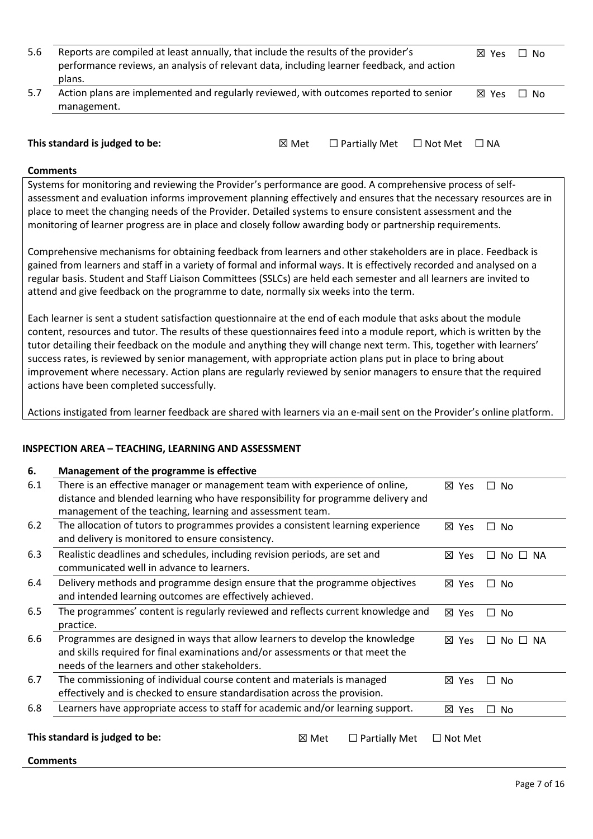| 5.6  | Reports are compiled at least annually, that include the results of the provider's<br>performance reviews, an analysis of relevant data, including learner feedback, and action<br>plans. | <b>X</b> Yes | No.<br>$\perp$ |
|------|-------------------------------------------------------------------------------------------------------------------------------------------------------------------------------------------|--------------|----------------|
| -5.7 | Action plans are implemented and regularly reviewed, with outcomes reported to senior<br>management.                                                                                      | 冈 Yes        | $\Box$ No      |

| This standard is judged to be: | ⊠ Met | $\Box$ Partially Met $\Box$ Not Met $\Box$ NA |  |  |
|--------------------------------|-------|-----------------------------------------------|--|--|
|--------------------------------|-------|-----------------------------------------------|--|--|

**Comments**

Systems for monitoring and reviewing the Provider's performance are good. A comprehensive process of selfassessment and evaluation informs improvement planning effectively and ensures that the necessary resources are in place to meet the changing needs of the Provider. Detailed systems to ensure consistent assessment and the monitoring of learner progress are in place and closely follow awarding body or partnership requirements.

Comprehensive mechanisms for obtaining feedback from learners and other stakeholders are in place. Feedback is gained from learners and staff in a variety of formal and informal ways. It is effectively recorded and analysed on a regular basis. Student and Staff Liaison Committees (SSLCs) are held each semester and all learners are invited to attend and give feedback on the programme to date, normally six weeks into the term.

Each learner is sent a student satisfaction questionnaire at the end of each module that asks about the module content, resources and tutor. The results of these questionnaires feed into a module report, which is written by the tutor detailing their feedback on the module and anything they will change next term. This, together with learners' success rates, is reviewed by senior management, with appropriate action plans put in place to bring about improvement where necessary. Action plans are regularly reviewed by senior managers to ensure that the required actions have been completed successfully.

Actions instigated from learner feedback are shared with learners via an e-mail sent on the Provider's online platform.

#### **INSPECTION AREA – TEACHING, LEARNING AND ASSESSMENT**

| 6.  | Management of the programme is effective                                         |                |                            |
|-----|----------------------------------------------------------------------------------|----------------|----------------------------|
| 6.1 | There is an effective manager or management team with experience of online,      | ⊠ Yes          | <b>No</b><br>$\mathsf{L}$  |
|     | distance and blended learning who have responsibility for programme delivery and |                |                            |
|     | management of the teaching, learning and assessment team.                        |                |                            |
| 6.2 | The allocation of tutors to programmes provides a consistent learning experience | ⊠ Yes          | □ No                       |
|     | and delivery is monitored to ensure consistency.                                 |                |                            |
| 6.3 | Realistic deadlines and schedules, including revision periods, are set and       | ⊠ Yes          | $No \square NA$<br>$\perp$ |
|     | communicated well in advance to learners.                                        |                |                            |
| 6.4 | Delivery methods and programme design ensure that the programme objectives       | ⊠ Yes          | No<br>$\Box$               |
|     | and intended learning outcomes are effectively achieved.                         |                |                            |
| 6.5 | The programmes' content is regularly reviewed and reflects current knowledge and | ⊠ Yes          | No<br>П.                   |
|     | practice.                                                                        |                |                            |
| 6.6 | Programmes are designed in ways that allow learners to develop the knowledge     | ⊠ Yes          | $No \Box NA$<br>$\Box$     |
|     | and skills required for final examinations and/or assessments or that meet the   |                |                            |
|     | needs of the learners and other stakeholders.                                    |                |                            |
| 6.7 | The commissioning of individual course content and materials is managed          | ⊠ Yes          | □ No                       |
|     | effectively and is checked to ensure standardisation across the provision.       |                |                            |
| 6.8 | Learners have appropriate access to staff for academic and/or learning support.  | ⊠ Yes          | No<br>$\Box$               |
|     |                                                                                  |                |                            |
|     | This standard is judged to be:<br>⊠ Met<br>$\Box$ Partially Met                  | $\Box$ Not Met |                            |
|     |                                                                                  |                |                            |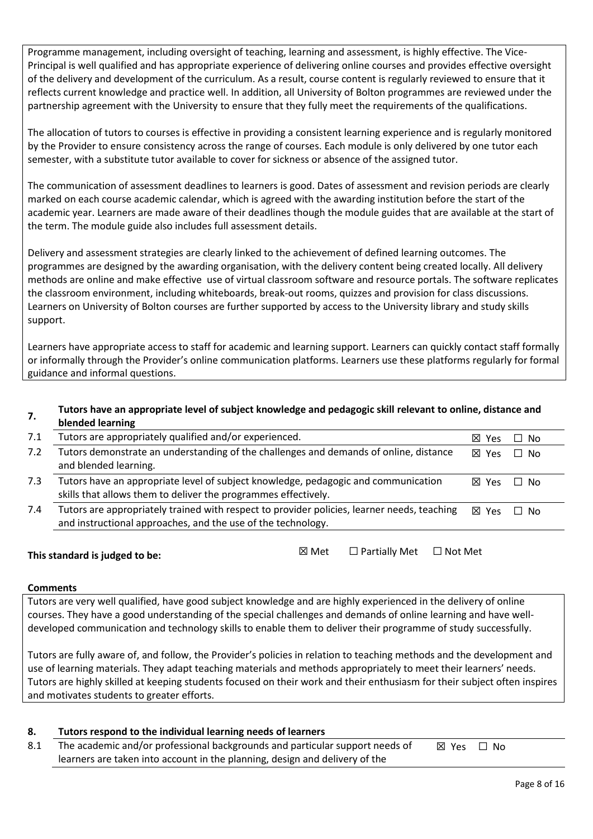Programme management, including oversight of teaching, learning and assessment, is highly effective. The Vice-Principal is well qualified and has appropriate experience of delivering online courses and provides effective oversight of the delivery and development of the curriculum. As a result, course content is regularly reviewed to ensure that it reflects current knowledge and practice well. In addition, all University of Bolton programmes are reviewed under the partnership agreement with the University to ensure that they fully meet the requirements of the qualifications.

The allocation of tutors to courses is effective in providing a consistent learning experience and is regularly monitored by the Provider to ensure consistency across the range of courses. Each module is only delivered by one tutor each semester, with a substitute tutor available to cover for sickness or absence of the assigned tutor.

The communication of assessment deadlines to learners is good. Dates of assessment and revision periods are clearly marked on each course academic calendar, which is agreed with the awarding institution before the start of the academic year. Learners are made aware of their deadlines though the module guides that are available at the start of the term. The module guide also includes full assessment details.

Delivery and assessment strategies are clearly linked to the achievement of defined learning outcomes. The programmes are designed by the awarding organisation, with the delivery content being created locally. All delivery methods are online and make effective use of virtual classroom software and resource portals. The software replicates the classroom environment, including whiteboards, break-out rooms, quizzes and provision for class discussions. Learners on University of Bolton courses are further supported by access to the University library and study skills support.

Learners have appropriate access to staff for academic and learning support. Learners can quickly contact staff formally or informally through the Provider's online communication platforms. Learners use these platforms regularly for formal guidance and informal questions.

#### **7. Tutors have an appropriate level of subject knowledge and pedagogic skill relevant to online, distance and blended learning**

| 7.1 | Tutors are appropriately qualified and/or experienced.                                                                                                      | <b>X</b> Yes    | - No |
|-----|-------------------------------------------------------------------------------------------------------------------------------------------------------------|-----------------|------|
| 7.2 | Tutors demonstrate an understanding of the challenges and demands of online, distance<br>and blended learning.                                              | $\boxtimes$ Yes | ∩ No |
| 7.3 | Tutors have an appropriate level of subject knowledge, pedagogic and communication<br>skills that allows them to deliver the programmes effectively.        | <b>X</b> Yes    | Π No |
| 7.4 | Tutors are appropriately trained with respect to provider policies, learner needs, teaching<br>and instructional approaches, and the use of the technology. | $\boxtimes$ Yes | ∩ No |

### **This standard is judged to be:**

| ⊠ Met | $\Box$ Partially Met | $\Box$ Not Met |
|-------|----------------------|----------------|

## **Comments**

Tutors are very well qualified, have good subject knowledge and are highly experienced in the delivery of online courses. They have a good understanding of the special challenges and demands of online learning and have welldeveloped communication and technology skills to enable them to deliver their programme of study successfully.

Tutors are fully aware of, and follow, the Provider's policies in relation to teaching methods and the development and use of learning materials. They adapt teaching materials and methods appropriately to meet their learners' needs. Tutors are highly skilled at keeping students focused on their work and their enthusiasm for their subject often inspires and motivates students to greater efforts.

# **8. Tutors respond to the individual learning needs of learners**

8.1 The academic and/or professional backgrounds and particular support needs of learners are taken into account in the planning, design and delivery of the ☒ Yes ☐ No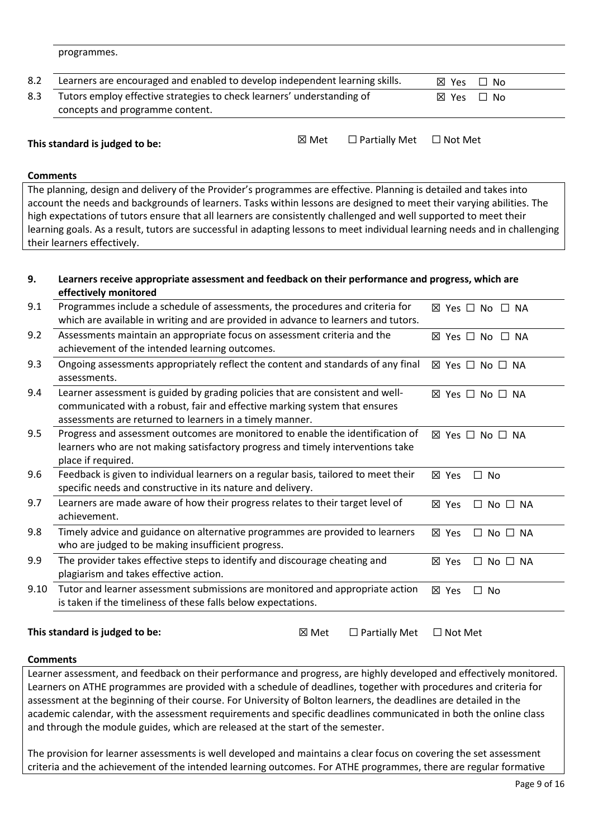programmes.

| 8.2 | Learners are encouraged and enabled to develop independent learning skills. | ⊠ Yes □ No |  |
|-----|-----------------------------------------------------------------------------|------------|--|
| 8.3 | Tutors employ effective strategies to check learners' understanding of      | ⊠ Yes □ No |  |
|     | concepts and programme content.                                             |            |  |

**This standard is judged to be:** ☒ Met ☐ Partially Met ☐ Not Met

#### **Comments**

The planning, design and delivery of the Provider's programmes are effective. Planning is detailed and takes into account the needs and backgrounds of learners. Tasks within lessons are designed to meet their varying abilities. The high expectations of tutors ensure that all learners are consistently challenged and well supported to meet their learning goals. As a result, tutors are successful in adapting lessons to meet individual learning needs and in challenging their learners effectively.

#### **9. Learners receive appropriate assessment and feedback on their performance and progress, which are effectively monitored**

| 9.1  | Programmes include a schedule of assessments, the procedures and criteria for<br>which are available in writing and are provided in advance to learners and tutors.                                                      | $\boxtimes$ Yes $\Box$ No $\Box$ NA          |
|------|--------------------------------------------------------------------------------------------------------------------------------------------------------------------------------------------------------------------------|----------------------------------------------|
| 9.2  | Assessments maintain an appropriate focus on assessment criteria and the<br>achievement of the intended learning outcomes.                                                                                               | $\boxtimes$ Yes $\Box$ No $\Box$ NA          |
| 9.3  | Ongoing assessments appropriately reflect the content and standards of any final<br>assessments.                                                                                                                         | $\boxtimes$ Yes $\Box$ No $\Box$ NA          |
| 9.4  | Learner assessment is guided by grading policies that are consistent and well-<br>communicated with a robust, fair and effective marking system that ensures<br>assessments are returned to learners in a timely manner. | $\boxtimes$ Yes $\Box$ No $\Box$ NA          |
| 9.5  | Progress and assessment outcomes are monitored to enable the identification of<br>learners who are not making satisfactory progress and timely interventions take<br>place if required.                                  | $\boxtimes$ Yes $\Box$ No $\Box$ NA          |
| 9.6  | Feedback is given to individual learners on a regular basis, tailored to meet their<br>specific needs and constructive in its nature and delivery.                                                                       | ⊠ Yes<br>$\Box$ No                           |
| 9.7  | Learners are made aware of how their progress relates to their target level of<br>achievement.                                                                                                                           | ⊠ Yes<br>$\Box$ No $\Box$ NA                 |
| 9.8  | Timely advice and guidance on alternative programmes are provided to learners<br>who are judged to be making insufficient progress.                                                                                      | ⊠ Yes<br>$\Box$ No $\Box$ NA                 |
| 9.9  | The provider takes effective steps to identify and discourage cheating and<br>plagiarism and takes effective action.                                                                                                     | $\boxtimes$ Yes<br>$No \square NA$<br>$\Box$ |
| 9.10 | Tutor and learner assessment submissions are monitored and appropriate action<br>is taken if the timeliness of these falls below expectations.                                                                           | ⊠<br>No<br>Yes<br>$\Box$                     |
|      |                                                                                                                                                                                                                          |                                              |

#### This standard is judged to be: **Ⅳext Met ICALLY** Met **Not Met Not Met Not Met Not Met 2**

| ⊠ Met | $\Box$ Partially Met | $\Box$ Not Met |
|-------|----------------------|----------------|
|       |                      |                |

#### **Comments**

Learner assessment, and feedback on their performance and progress, are highly developed and effectively monitored. Learners on ATHE programmes are provided with a schedule of deadlines, together with procedures and criteria for assessment at the beginning of their course. For University of Bolton learners, the deadlines are detailed in the academic calendar, with the assessment requirements and specific deadlines communicated in both the online class and through the module guides, which are released at the start of the semester.

The provision for learner assessments is well developed and maintains a clear focus on covering the set assessment criteria and the achievement of the intended learning outcomes. For ATHE programmes, there are regular formative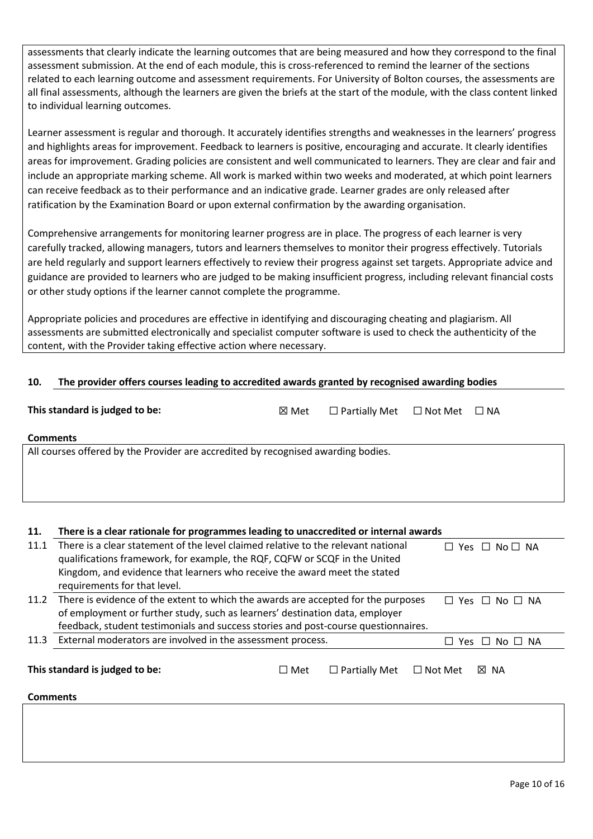assessments that clearly indicate the learning outcomes that are being measured and how they correspond to the final assessment submission. At the end of each module, this is cross-referenced to remind the learner of the sections related to each learning outcome and assessment requirements. For University of Bolton courses, the assessments are all final assessments, although the learners are given the briefs at the start of the module, with the class content linked to individual learning outcomes.

Learner assessment is regular and thorough. It accurately identifies strengths and weaknesses in the learners' progress and highlights areas for improvement. Feedback to learners is positive, encouraging and accurate. It clearly identifies areas for improvement. Grading policies are consistent and well communicated to learners. They are clear and fair and include an appropriate marking scheme. All work is marked within two weeks and moderated, at which point learners can receive feedback as to their performance and an indicative grade. Learner grades are only released after ratification by the Examination Board or upon external confirmation by the awarding organisation.

Comprehensive arrangements for monitoring learner progress are in place. The progress of each learner is very carefully tracked, allowing managers, tutors and learners themselves to monitor their progress effectively. Tutorials are held regularly and support learners effectively to review their progress against set targets. Appropriate advice and guidance are provided to learners who are judged to be making insufficient progress, including relevant financial costs or other study options if the learner cannot complete the programme.

Appropriate policies and procedures are effective in identifying and discouraging cheating and plagiarism. All assessments are submitted electronically and specialist computer software is used to check the authenticity of the content, with the Provider taking effective action where necessary.

### **10. The provider offers courses leading to accredited awards granted by recognised awarding bodies**

| This standard is judged to be:                                                    | $\boxtimes$ Met | $\Box$ Partially Met $\Box$ Not Met $\Box$ NA |  |  |  |  |  |
|-----------------------------------------------------------------------------------|-----------------|-----------------------------------------------|--|--|--|--|--|
| <b>Comments</b>                                                                   |                 |                                               |  |  |  |  |  |
| All courses offered by the Provider are accredited by recognised awarding bodies. |                 |                                               |  |  |  |  |  |

# **11. There is a clear rationale for programmes leading to unaccredited or internal awards**

| 11.1                           | There is a clear statement of the level claimed relative to the relevant national  |            |                      | Yes                                                      |  |
|--------------------------------|------------------------------------------------------------------------------------|------------|----------------------|----------------------------------------------------------|--|
|                                | qualifications framework, for example, the RQF, CQFW or SCQF in the United         |            |                      |                                                          |  |
|                                | Kingdom, and evidence that learners who receive the award meet the stated          |            |                      |                                                          |  |
|                                | requirements for that level.                                                       |            |                      |                                                          |  |
| 11.2                           | There is evidence of the extent to which the awards are accepted for the purposes  |            |                      | $No \ \Box \ NA$<br><b>Yes</b><br>$\Box$<br>$\mathbf{1}$ |  |
|                                | of employment or further study, such as learners' destination data, employer       |            |                      |                                                          |  |
|                                | feedback, student testimonials and success stories and post-course questionnaires. |            |                      |                                                          |  |
| 11.3                           | External moderators are involved in the assessment process.                        |            |                      | $\Box$ NA<br>$\Box$<br>Yes.<br>No.                       |  |
|                                |                                                                                    |            |                      |                                                          |  |
| This standard is judged to be: |                                                                                    | $\Box$ Met | $\Box$ Partially Met | ⊠ NA<br>$\Box$ Not Met                                   |  |
| <b>Comments</b>                |                                                                                    |            |                      |                                                          |  |
|                                |                                                                                    |            |                      |                                                          |  |
|                                |                                                                                    |            |                      |                                                          |  |
|                                |                                                                                    |            |                      |                                                          |  |
|                                |                                                                                    |            |                      |                                                          |  |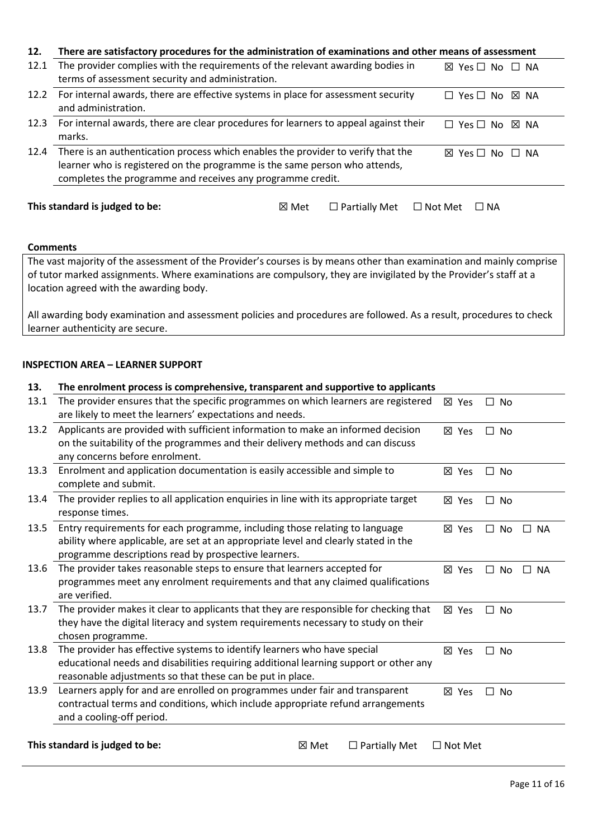| 12.  | There are satisfactory procedures for the administration of examinations and other means of assessment   |  |  |                                     |           |
|------|----------------------------------------------------------------------------------------------------------|--|--|-------------------------------------|-----------|
| 12.1 | The provider complies with the requirements of the relevant awarding bodies in                           |  |  | $\boxtimes$ Yes $\Box$ No $\Box$ NA |           |
|      | terms of assessment security and administration.                                                         |  |  |                                     |           |
| 12.2 | For internal awards, there are effective systems in place for assessment security                        |  |  | Yes □ No<br>ш                       | 冈 NA      |
|      | and administration.                                                                                      |  |  |                                     |           |
| 12.3 | For internal awards, there are clear procedures for learners to appeal against their                     |  |  | $\Box$ Yes $\Box$ No $\boxtimes$ NA |           |
|      | marks.                                                                                                   |  |  |                                     |           |
| 12.4 | There is an authentication process which enables the provider to verify that the                         |  |  | Yes $\Box$ No<br>IХI                | $\Box$ NA |
|      | learner who is registered on the programme is the same person who attends,                               |  |  |                                     |           |
|      | completes the programme and receives any programme credit.                                               |  |  |                                     |           |
|      |                                                                                                          |  |  |                                     |           |
|      | This standard is judged to be:<br>$\Box$ Partially Met<br>$\Box$ NA<br>$\boxtimes$ Met<br>$\Box$ Not Met |  |  |                                     |           |
|      |                                                                                                          |  |  |                                     |           |

The vast majority of the assessment of the Provider's courses is by means other than examination and mainly comprise of tutor marked assignments. Where examinations are compulsory, they are invigilated by the Provider's staff at a location agreed with the awarding body.

All awarding body examination and assessment policies and procedures are followed. As a result, procedures to check learner authenticity are secure.

#### **INSPECTION AREA – LEARNER SUPPORT**

| 13.  | The enrolment process is comprehensive, transparent and supportive to applicants      |                 |           |           |  |
|------|---------------------------------------------------------------------------------------|-----------------|-----------|-----------|--|
| 13.1 | The provider ensures that the specific programmes on which learners are registered    | ⊠ Yes           | □ No      |           |  |
|      | are likely to meet the learners' expectations and needs.                              |                 |           |           |  |
| 13.2 | Applicants are provided with sufficient information to make an informed decision      | ⊠ Yes           | $\Box$ No |           |  |
|      | on the suitability of the programmes and their delivery methods and can discuss       |                 |           |           |  |
|      | any concerns before enrolment.                                                        |                 |           |           |  |
| 13.3 | Enrolment and application documentation is easily accessible and simple to            | $\boxtimes$ Yes | $\Box$ No |           |  |
|      | complete and submit.                                                                  |                 |           |           |  |
| 13.4 | The provider replies to all application enquiries in line with its appropriate target | ⊠ Yes           | $\Box$ No |           |  |
|      | response times.                                                                       |                 |           |           |  |
| 13.5 | Entry requirements for each programme, including those relating to language           | ⊠ Yes           | $\Box$ No | $\Box$ NA |  |
|      | ability where applicable, are set at an appropriate level and clearly stated in the   |                 |           |           |  |
|      | programme descriptions read by prospective learners.                                  |                 |           |           |  |
| 13.6 | The provider takes reasonable steps to ensure that learners accepted for              | ⊠ Yes           | $\Box$ No | $\Box$ NA |  |
|      | programmes meet any enrolment requirements and that any claimed qualifications        |                 |           |           |  |
|      | are verified.                                                                         |                 |           |           |  |
| 13.7 | The provider makes it clear to applicants that they are responsible for checking that | ⊠ Yes           | $\Box$ No |           |  |
|      | they have the digital literacy and system requirements necessary to study on their    |                 |           |           |  |
|      | chosen programme.                                                                     |                 |           |           |  |
| 13.8 | The provider has effective systems to identify learners who have special              | ⊠ Yes           | П.<br>No  |           |  |
|      | educational needs and disabilities requiring additional learning support or other any |                 |           |           |  |
|      | reasonable adjustments so that these can be put in place.                             |                 |           |           |  |
| 13.9 | Learners apply for and are enrolled on programmes under fair and transparent          | ⊠ Yes           | $\Box$ No |           |  |
|      | contractual terms and conditions, which include appropriate refund arrangements       |                 |           |           |  |
|      | and a cooling-off period.                                                             |                 |           |           |  |
|      |                                                                                       |                 |           |           |  |
|      | This standard is judged to be:<br>⊠ Met<br>$\Box$ Partially Met                       | $\Box$ Not Met  |           |           |  |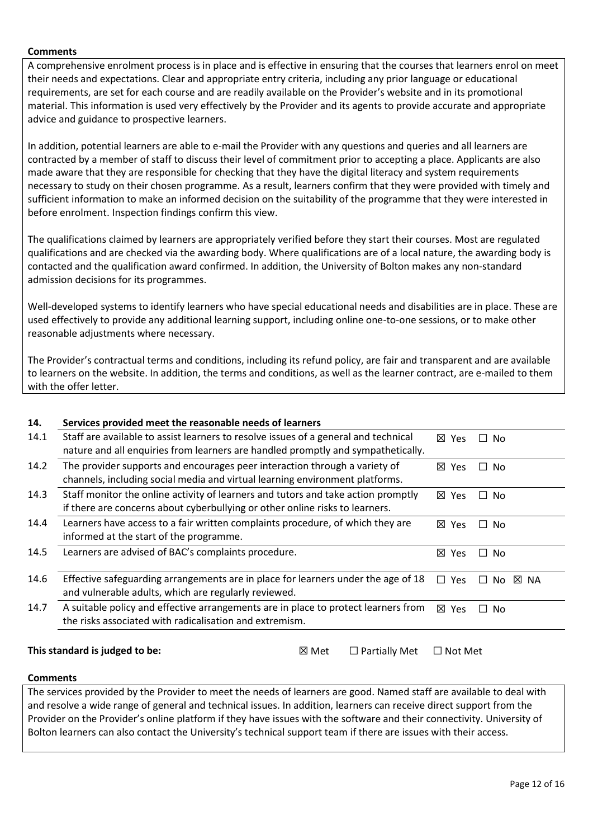A comprehensive enrolment process is in place and is effective in ensuring that the courses that learners enrol on meet their needs and expectations. Clear and appropriate entry criteria, including any prior language or educational requirements, are set for each course and are readily available on the Provider's website and in its promotional material. This information is used very effectively by the Provider and its agents to provide accurate and appropriate advice and guidance to prospective learners.

In addition, potential learners are able to e-mail the Provider with any questions and queries and all learners are contracted by a member of staff to discuss their level of commitment prior to accepting a place. Applicants are also made aware that they are responsible for checking that they have the digital literacy and system requirements necessary to study on their chosen programme. As a result, learners confirm that they were provided with timely and sufficient information to make an informed decision on the suitability of the programme that they were interested in before enrolment. Inspection findings confirm this view.

The qualifications claimed by learners are appropriately verified before they start their courses. Most are regulated qualifications and are checked via the awarding body. Where qualifications are of a local nature, the awarding body is contacted and the qualification award confirmed. In addition, the University of Bolton makes any non-standard admission decisions for its programmes.

Well-developed systems to identify learners who have special educational needs and disabilities are in place. These are used effectively to provide any additional learning support, including online one-to-one sessions, or to make other reasonable adjustments where necessary.

The Provider's contractual terms and conditions, including its refund policy, are fair and transparent and are available to learners on the website. In addition, the terms and conditions, as well as the learner contract, are e-mailed to them with the offer letter.

| 14.  | Services provided meet the reasonable needs of learners                                                                                                                 |  |  |               |                     |      |
|------|-------------------------------------------------------------------------------------------------------------------------------------------------------------------------|--|--|---------------|---------------------|------|
| 14.1 | Staff are available to assist learners to resolve issues of a general and technical<br>nature and all enquiries from learners are handled promptly and sympathetically. |  |  | ⊠ Yes         | No.<br>$\Box$       |      |
| 14.2 | The provider supports and encourages peer interaction through a variety of<br>channels, including social media and virtual learning environment platforms.              |  |  | ⊠ Yes         | No.<br>П.           |      |
| 14.3 | Staff monitor the online activity of learners and tutors and take action promptly<br>if there are concerns about cyberbullying or other online risks to learners.       |  |  | ⊠ Yes         | <b>No</b><br>$\Box$ |      |
| 14.4 | Learners have access to a fair written complaints procedure, of which they are<br>informed at the start of the programme.                                               |  |  |               | No.<br>$\Box$       |      |
| 14.5 | Learners are advised of BAC's complaints procedure.                                                                                                                     |  |  | ⊠ Yes         | No<br>$\Box$        |      |
| 14.6 | Effective safeguarding arrangements are in place for learners under the age of 18<br>and vulnerable adults, which are regularly reviewed.                               |  |  | $\Box$<br>Yes | No.<br>$\mathsf{L}$ | ⊠ NA |
| 14.7 | A suitable policy and effective arrangements are in place to protect learners from<br>the risks associated with radicalisation and extremism.                           |  |  | ⊠ Yes         | No.<br>ΙI           |      |
|      | This standard is judged to be:<br>$\Box$ Partially Met<br>⊠ Met<br>$\Box$ Not Met                                                                                       |  |  |               |                     |      |

#### **Comments**

The services provided by the Provider to meet the needs of learners are good. Named staff are available to deal with and resolve a wide range of general and technical issues. In addition, learners can receive direct support from the Provider on the Provider's online platform if they have issues with the software and their connectivity. University of Bolton learners can also contact the University's technical support team if there are issues with their access.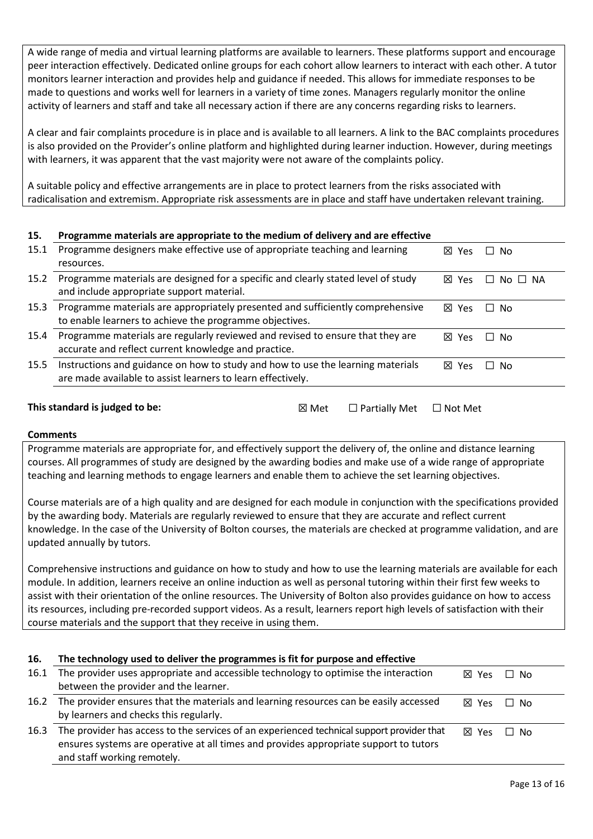A wide range of media and virtual learning platforms are available to learners. These platforms support and encourage peer interaction effectively. Dedicated online groups for each cohort allow learners to interact with each other. A tutor monitors learner interaction and provides help and guidance if needed. This allows for immediate responses to be made to questions and works well for learners in a variety of time zones. Managers regularly monitor the online activity of learners and staff and take all necessary action if there are any concerns regarding risks to learners.

A clear and fair complaints procedure is in place and is available to all learners. A link to the BAC complaints procedures is also provided on the Provider's online platform and highlighted during learner induction. However, during meetings with learners, it was apparent that the vast majority were not aware of the complaints policy.

A suitable policy and effective arrangements are in place to protect learners from the risks associated with radicalisation and extremism. Appropriate risk assessments are in place and staff have undertaken relevant training.

### **15. Programme materials are appropriate to the medium of delivery and are effective**

| 15.1 | Programme designers make effective use of appropriate teaching and learning<br>resources.                                                      | ⊠ Yes           | ∩ No                |
|------|------------------------------------------------------------------------------------------------------------------------------------------------|-----------------|---------------------|
| 15.2 | Programme materials are designed for a specific and clearly stated level of study<br>and include appropriate support material.                 | $\boxtimes$ Yes | $No \Box NA$<br>II. |
| 15.3 | Programme materials are appropriately presented and sufficiently comprehensive<br>to enable learners to achieve the programme objectives.      | 冈 Yes           | ∩ No                |
| 15.4 | Programme materials are regularly reviewed and revised to ensure that they are<br>accurate and reflect current knowledge and practice.         | $\boxtimes$ Yes | ∩ No                |
| 15.5 | Instructions and guidance on how to study and how to use the learning materials<br>are made available to assist learners to learn effectively. | $\boxtimes$ Yes | No.                 |
|      |                                                                                                                                                |                 |                     |

#### **This standard is judged to be:** ☒ Met ☐ Partially Met ☐ Not Met

#### **Comments**

Programme materials are appropriate for, and effectively support the delivery of, the online and distance learning courses. All programmes of study are designed by the awarding bodies and make use of a wide range of appropriate teaching and learning methods to engage learners and enable them to achieve the set learning objectives.

Course materials are of a high quality and are designed for each module in conjunction with the specifications provided by the awarding body. Materials are regularly reviewed to ensure that they are accurate and reflect current knowledge. In the case of the University of Bolton courses, the materials are checked at programme validation, and are updated annually by tutors.

Comprehensive instructions and guidance on how to study and how to use the learning materials are available for each module. In addition, learners receive an online induction as well as personal tutoring within their first few weeks to assist with their orientation of the online resources. The University of Bolton also provides guidance on how to access its resources, including pre-recorded support videos. As a result, learners report high levels of satisfaction with their course materials and the support that they receive in using them.

| 16.  | The technology used to deliver the programmes is fit for purpose and effective            |                 |           |
|------|-------------------------------------------------------------------------------------------|-----------------|-----------|
| 16.1 | The provider uses appropriate and accessible technology to optimise the interaction       | $\boxtimes$ Yes | Π No      |
|      | between the provider and the learner.                                                     |                 |           |
| 16.2 | The provider ensures that the materials and learning resources can be easily accessed     | $\boxtimes$ Yes | Π No      |
|      | by learners and checks this regularly.                                                    |                 |           |
| 16.3 | The provider has access to the services of an experienced technical support provider that | 冈 Yes           | $\Box$ No |
|      | ensures systems are operative at all times and provides appropriate support to tutors     |                 |           |
|      | and staff working remotely.                                                               |                 |           |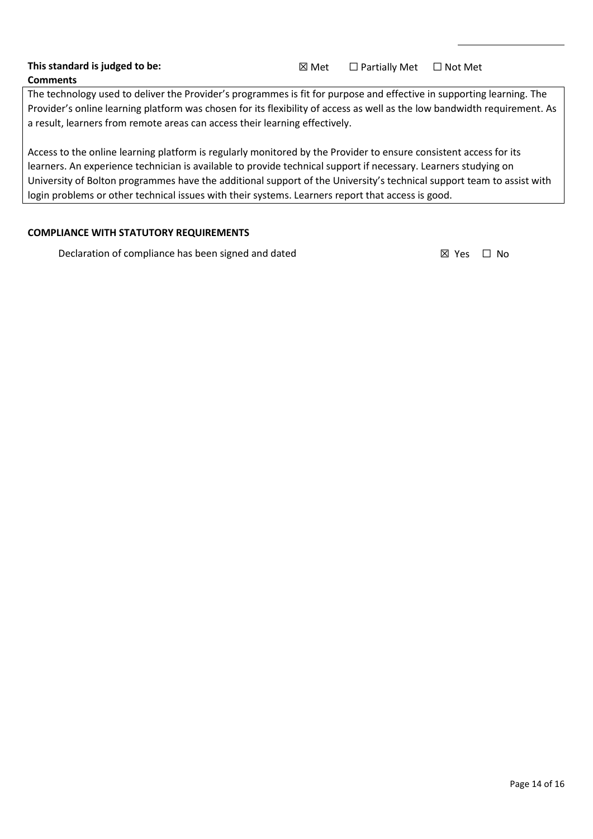The technology used to deliver the Provider's programmes is fit for purpose and effective in supporting learning. The Provider's online learning platform was chosen for its flexibility of access as well as the low bandwidth requirement. As a result, learners from remote areas can access their learning effectively.

Access to the online learning platform is regularly monitored by the Provider to ensure consistent access for its learners. An experience technician is available to provide technical support if necessary. Learners studying on University of Bolton programmes have the additional support of the University's technical support team to assist with login problems or other technical issues with their systems. Learners report that access is good.

### **COMPLIANCE WITH STATUTORY REQUIREMENTS**

Declaration of compliance has been signed and dated  $\boxtimes$  Yes  $\Box$  No